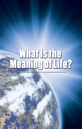#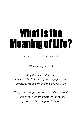# What Is the Meaning of Life?

By Roderick C. Meredith

*Why were you born?* 

*Why does God allow even dedicated Christians to go through years and decades of trials, tests, and persecutions?* 

*Why is it so important that we all overcome? What is the magnificent purpose for all of our lives here on planet Earth?*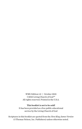*WML* Edition 1.0 | October 2021 ©2021 Living Church of God™ All rights reserved. Printed in the U.S.A.

#### This booklet is not to be sold!

It has been provided as a free public educational service by the Living Church of God

Scriptures in this booklet are quoted from the *New King James Version* (©Thomas Nelson, Inc. Publishers) unless otherwise noted.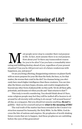### What Is the Meaning of Life?

ost people never stop to consider their real *purpose*<br>in life. In fact, most assume there is no real purpose<br>How about you? Is there any transcendent reason<br>for you to be alive? Can you have a remarkably inte<br>esting and f in life. In fact, most assume there is no real purpose. How about you? Is there any transcendent reason for you to be alive? Can you have a remarkably interesting and fulfilling destiny ahead of you, regardless of your present situation? Can you be *100 percent sure* of a future rendezvous with happiness, joy, and peace?

Or are you living a fleeting, disappointing existence on planet Earth with no more purpose for your life than the birds, the bees, or, for that matter, the worms that crawl in the dirt? As a human being, you obviously have much higher intelligence than these creatures. You can visualize the future; you have hopes, dreams, and creative imagination far beyond any other form of physical life on this earth. Yet do all these gifts, potentials, and dreams rot when you die and "dust returns to dust"?

This truly is worth considering. You should think about it! Sure, some religious people may feel they will be wafted off to heaven to sit around for all eternity with *nothing to do* except "roll around heaven" all day, as a song goes. But you *should not assume anything. Do not* be gullible—find out for yourself and prove **what is the meaning of life!**

The real truth of the matter has been revealed in the Creator's instruction manual for humanity, the Holy Bible. In the Bible, God decrees the fate of nations and empires. He prophesies of world-shaking future events that are to happen. And these prophecies are unfolding before the eyes of this generation!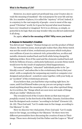However, in a more quiet yet profound way, your Creator also reveals the meaning of mankind—the real purpose for your life and my life. In a number of places, it is called the "mystery" of God. Indeed, it is a mystery to the vast majority of people—even to most of the supposed "Christian" world, for it goes far beyond what most humans have ever visualized or imagined. Yet it is so obvious, so simple, so powerful in its logic that you may wonder why you did not understand it all along.

So, again, **what is the meaning of life? Why were you born?**

#### A *Purpose* in Humanity's Creation

You did not just "happen." Human beings are not the product of blind chance. By common sense, most people realize that a fine Swiss watch was not the result of slow, evolutionary processes which took place over millions of years in a mineral-rich, primordial sea, as silica and metallic elements washed back and forth while being charged by lightning strikes. Even if the sand and the elements washed back and forth for billions of years, a delicately fashioned, accurate Swiss watch would *never* be the result of unplanned, blind happenstance.

Yet some intelligent, "educated" individuals prefer to be "politically correct" and subscribe to the evolutionary theory that *your mind—*with a complexity far surpassing any watch or computer ever designed and produced—somehow came together, with your body, as an "accident" of the evolutionary process.

If you believe that, you had better *stop* reading right here, because, until God Himself wakes you up, you are not going to understand anything about the meaning of life or any other spiritual thing. As it is written, the "things which are seen were not made of things which are visible" (Hebrews 11:3).

The revealed word of the Creator shows us that man was *purposefully created.* In the first book of the Bible, Genesis, God describes how He designed each creature "according to its kind" (Genesis 1:21, 24–25). Then God said, "Let Us make man in Our image, according to Our likeness" (v. 26).

Here we discover two vital points. First, God said, "Let Us make man in *Our* image, according to *Our* likeness." So there were two different personalities here discussing the creation of man in Their image. These were obviously God the Father and the Logos or "Word"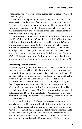(Spokesman) who was later born in human flesh as Jesus of Nazareth (John 1:1–2, 14).

The second vital point is conveyed by the rest of the verse, which says that God "let them have *dominion* over the fish… birds… cattle." So, from the beginning, mankind was ordained to have dominion, to *rule,* to be in charge over all the physical creation here on earth. He was immediately given the responsibility and the opportunity to use creative imagination and judgment.

Notice these inspired words of David: "What is man that You are mindful of him, and the son of man that You visit him? For You have made him a little lower than the angels [the Hebrew word *Elohim*], and You have crowned him with glory and honor. You have made him to have dominion over the works of Your hands; You have put all things under his feet" (Psalm 8:4–6). Here we see that God has a special purpose for man. Man is made a "little lower" than the "*Elohim*"—a Hebrew term denoting God! Yet man is crowned with glory and honor and given "dominion" over the work of God's hands (v. 6).

#### Remarkably Unique Abilities

From the beginning, man was given a *mind,* which is remarkably distinct from any animal brain. Unlike any other creature on earth, man has creative imagination and the capacity even to analyze himself. He can laugh at himself or reason between right and wrong, enabling him to make judgments—to a limited degree—like God Himself!

At the time of the building of the tower of Babel, God said, "Indeed the people are one and they all have one language, and this is what they begin to do; now nothing that they propose to do will be withheld from them" (Genesis 11:6). The clear indication here is that, unless restrained by God, man might have "progressed," even back at that time, to the point of being able to destroy himself from off the face of the earth!

Today, as the abilities of different nations and races are once again being utilized in a worldwide scientific community, humanity has indeed progressed to the point where we could destroy ourselves. Man is able to launch huge, complicated rockets into outer space. He has sent spacecraft beyond our solar system and has landed spacecraft on the moon, Mars, and even passing asteroids. He is able to store and then instantly recall billions of pieces of information in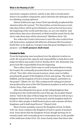marvelous computer systems. And he is also able to break matter down to its smallest components, and to detonate the hydrogen atom in a blinding, searing *explosion.*

Almost 2,000 years ago, Jesus Christ specifically prophesied this situation when He warned, "For then [when certain foreseen events take place] there will be great tribulation, such as has not been since the beginning of the world until this time, no, nor ever shall be. And unless those days were shortened, no flesh would be saved; but for the elect's sake those days will be shortened" (Matthew 24:21–22).

Yes, unless the Creator intervenes to save His own creation from self-destruction, mankind will *obliterate* all human life from planet Earth! But, as we shall see, God gave man this great intelligence for a purpose—and **God's purpose shall stand.**

#### Created to Rule

From the beginning, man was placed over the physical creation on earth. He was given the capacity and responsibility to help direct and judge his fellow man under God (cf. Exodus 18:13–26). Humanity was given God-like responsibility from the beginning.

Then, when Jesus Christ came to earth in human flesh to bring the Gospel, He continually preached about the coming government of God: "Now after John was put in prison, Jesus came to Galilee, preaching the gospel of the kingdom of God, and saying, 'The time is fulfilled, and the kingdom of God is at hand. Repent, and believe in the gospel'" (Mark 1:14–15). This coming world-ruling government was predicted by most of the Old Testament prophets as well as Jesus Christ, Peter, Paul, and John.

After describing the four great, world-ruling kingdoms that would govern the world until the end of this age, the prophet Daniel stated, "And in the days of these kings the God of heaven will set up a kingdom which shall never be destroyed; and the kingdom shall not be left to other people; it shall break in pieces and consume all these kingdoms, and it shall stand forever" (Daniel 2:44).

Most of Jesus' parables concern the Kingdom of God. In Mark 4:30–32, Jesus compares the Kingdom of God to a grain of mustard seed. Jesus shows that the Kingdom of God, though starting out extremely small, will eventually grow to tremendous size. In the parable of the nobleman (Luke 19:12–19), Jesus clearly states that those who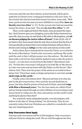overcome and who use their talents, as God intends, will be given authority in Christ's soon-coming government to rule over cities. To the servant who had increased his money ten times, Jesus said, "Well done, good servant; because you were faithful in a very little, **have authority over ten cities**" (v. 17). To the servant who had increased his money five times, Jesus said, "You also **be over five cities**" (v. 19).

Then, on the night just before His death, Jesus promised the Apostles, "And I bestow upon you a kingdom, just as My Father bestowed one upon Me, that you may eat and drink at My table in My kingdom, and **sit on thrones judging the twelve tribes of Israel**" (Luke 22:29–30). If we believe that Jesus meant what He said, then we know that the Son of God specifically promised that overcoming Christians will join Him at His Second Coming in *ruling* over the cities and nations on this earth!

Notice these direct statements by Jesus the Christ, as recorded in the book of Revelation: "And he who overcomes, and keeps My works until the end, to him I will give power over the nations—'He shall rule them with a rod of iron; they shall be dashed to pieces like the potter's vessels'—as I also have received from My Father" (Revelation 2:26– 27). "To him who overcomes I will grant to sit with Me on My throne, as I also overcame and sat down with My Father on His throne" (Revelation 3:21). Then note the prayer of the saints as recorded in Revelation 5:10: "[You] have made us kings and priests to our God; and **we shall reign on the earth.**"

Finally, notice Revelation 20:6: "Blessed and holy is he who has part in the *first* resurrection. Over such the second death has no power, but they shall be priests of God and of Christ, and shall **reign with Him a thousand years.**" Yes, the true saints are called of God and are being trained through an entire lifetime of overcoming to join Jesus Christ in *ruling* over the cities and nations on this earth! Could anything be plainer than that?

Yet, somehow, many misguided people, even theologians, still believe in the idea of "doing nothing" for all eternity. They do not remotely realize that true Christians are called for a wonderful, exciting, awe-inspiring *purpose.*

#### Only Overcomers Need Apply

God says only overcomers will be in His kingdom. Only overcomers will join Christ in ruling this earth. We are told throughout the New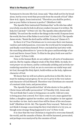Testament to *become like* God. Jesus said, "Man shall not live by bread alone, but by every word that proceeds from the mouth of God" (Matthew 4:4). Again, Jesus instructed, "Therefore you shall be perfect, just as your Father in heaven is perfect" (Matthew 5:48).

The Apostle Peter instructed Christians that "as He who has called you is holy, you also be holy in all your conduct, because it is written, 'Be holy, for I am holy'" (1 Peter 1:15–16). The Apostle John exhorted God's faithful, "Do not love the world or the things in the world. If anyone loves the world, the love of the Father is not in him" (1 John 2:15). The Apostle James wrote, "Resist the devil and he will flee from you" (James 4:7).

So there it is! True Christians are to overcome their own human vanities and sinful passions, overcome the world and its temptations, and finally resist Satan himself. Peter concluded his last letter with the searching admonition to "*grow* in the grace and knowledge of our Lord and Savior Jesus Christ. To Him be the glory both now and forever. Amen" (2 Peter 3:18).

Now, in the human flesh, we are subject to all sorts of weaknesses and sin. But by regular, diligent *study* of the Holy Bible, by daily, fervent *prayer* on our knees, and by continually yielding and actively surrendering ourselves to God, we are to *overcome* our sinful ways and let God, through His Holy Spirit, build within us the holy, righteous character of God.

We know that we will not achieve perfection in this life, but we must be making real progress, for we are to *grow* in the very nature and character of God Himself. Therefore true Christians are ensured of constant trials, tests, and persecution.

The Apostle Paul predicted that "all who desire to live godly in Christ Jesus will suffer persecution" (2 Timothy 3:12). Jesus said, "Do not think that I came to bring peace on earth. I did not come to bring peace but a sword. For I have come to set a man against his father, a daughter against her mother, and a daughter-in-law against her mother-in-law. And a man's foes will be those of his own household" (Matthew 10:34–36). The Apostle Peter warned, "Beloved, do not think it strange concerning the fiery trial which is to try you, as though some strange thing happened to you" (1 Peter 4:12).

It is clear that the true Christian is required to overcome himself, the world, and the assaults of Satan. He will be harassed, persecuted, and perhaps even martyred by the enemies of God.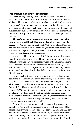#### *Why* We Must Build Righteous Character

Is a Christian to go through life's difficulties just so he can take a very long celestial vacation to do nothing but "roll around heaven" all day and be bored watching the clouds pass by while plunking out harp music? Is he to serve God as a messenger like the angels? After all the remarkable trials, tests, tears, and perhaps even the agony of overcoming physical sufferings, is our reward to be no greater than that of the multiple millions of created beings in the angelic host? No way!

**The truly awesome purpose of human existence goes far beyond even what the righteous angels and archangels will experience!** Why do we go through trials? Why are we tested time and again? God wants to see if we are willing to *totally surrender* to Him. His ultimate purpose is to reproduce in us His mind, His love, and His character. **God is reproducing Himself!**

Yes, you read it right. At this point, I should exhort all of you who read this *not* to tune out. Ask God for an open, inquiring mind—do not make assumptions. Spiritual safety rests with a sincere desire to test "all things," according to the words in your own Bible (1 Thessalonians 5:21). The great purpose for human life, which truly makes sense, has clearly been inspired and placed in the pages of the Holy Bible for centuries!

Now go back to Genesis and review again what God did in the beginning. Each animal was created "according to its kind" (Genesis 1:24). So cattle reproduce cattle, lions reproduce lions, and so on. This was God's mind or pattern as He created each creature. Then God said, "Let Us make man in *Our* image, according to *Our* likeness" (Genesis 1:26). In plain language, God was indicating that they—the God Family now known as the Father and His Son Jesus Christ would begin to reproduce themselves, adding more members to the "God Family"! Does it sound blasphemous to you to think that God planned to reproduce after His kind?

Some of the self-appointed religious leaders during Jesus' day thought so. You might be surprised to learn that this matter of God having a family was a big issue of debate between Jesus and that day's religious authorities. Jesus had said to them, "I and my Father are *one*" (John 10:30). This statement by Jesus angered the religious leaders enough that they considered Him a heretic worthy of death.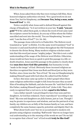When Jesus asked them why they were trying to kill Him, these honored religious authorities retorted, "For a good work we do not stone You, but for blasphemy, and **because You, being a man, make Yourself God**" (v. 33).

Notice *carefully* what Jesus said to defend Himself against this charge of blasphemy: "Is it not written in your law, **'I said, "you are gods"'?** If He called them gods, to whom the word of God came (and the scripture *cannot* be broken), do you say of Him whom the Father sanctified and sent into the world, 'You are blaspheming,' because I said, 'I am the Son of God'?" (vv. 34–36).

The passage Jesus referred to is Psalm 82:6. The Hebrew word translated as "gods" is *Elohim.* It is the same word translated "God" in Genesis 1:1 and used *hundreds* of times throughout the Old Testament to denote the divine Being. Many modern religious scholars maintain that this word just means "mighty judges." But this is not a valid understanding of the usage of the Hebrew word *Elohim.* Otherwise, Jesus would not have been so quick to pick this passage in a life-ordeath situation. Jesus used this passage in the psalms to clearly show that **man does have God-like potential,** that humanity is truly "made in the image" of God. Obviously those incensed religious authorities recognized that Jesus was flesh and blood just as they were. Further, since Jesus was the "Son of God," He was *not* blaspheming by making Himself equal with God when He called God His Father!

In fact, this issue came up earlier in John's gospel when these same religious authorities sought to kill Jesus because they accused Him of breaking the Sabbath, and also because He "said that God was His Father, making Himself equal with God" (John 5:18). They obviously recognized that a *real* son is, in fact, **equal to his father.**

I am a father myself. I am privileged to have four sons and two daughters. As God has ordained, I have reproduced "according to my kind." My sons and daughters are *fully human,* just as I am. Though I may be greater in experience and wisdom, and am the patriarch of my family, my children are as fully of the human family as I am, and have completely the same human capacity, potential, and dignity that I do.

What about God's *sons?* Are we so accustomed to modern religionists using religious-sounding "fluff words" that we no longer have real *understanding* as to the *meaning* of the words we use? Do we fail to recognize that a literal "son" of God would **truly be like God?**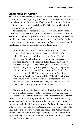#### Biblical Meaning of "Elohim"

The very first name that God applies to Himself in the Old Testament is *"Elohim."* "In the beginning God [Hebrew *Elohim*] created the heavens and the earth" (Genesis 1:1). *Elohim* is used 31 times in the first chapter of Genesis—and clearly identifies "God" as the *Creator.* But what does *Elohim* mean?

All authorities are agreed that this Hebrew name for "God" is plural in form. Some think this plural name of God *proves* that the Old Testament "God" is comprised of more than "one Being." Others *deny* this, but there can be no question that the plural ending *-im* of this Hebrew word clearly *allows for a plurality of Beings* in the concept of the Hebrew God as mentioned in the Old Testament.

Grammatically the form "Elohim" contains the plural ending *-im*. The function of "Elohim" as *a true plural* ("gods") is reflected in numerous biblical texts (e.g., Exod 12:12: "all the gods of Egypt"). In this function "Elohim" can be preceded by a definite article ("the gods"; e.g., Exod 18:11: "now I know that Yahweh is greater than all the gods"). In Heb "Elohim" can be accompanied by *plural adjectives* (e.g., very frequently in Deuteronomy: "other gods") and construed with *plural verbal forms* (e.g., Ps 97:7: "all gods bow down before him [Yahweh]"). The striking feature of the OT text lies in the use of this *plural form* "Elohim" in order to designate the one God of Israel (David N. Freedman et al., *The Anchor Bible Dictionary,* 1992, vol. 4, p. 1006, emphasis added).

There is irrefutable biblical proof that this plural noun (*Elohim*) is to be understood as conveying not the sense of a dual or a triune God, but of a "God Family" with more than one member. If God were to be forever limited to only Father and Son, then presumably they would have used another Hebrew word to convey such a limited, two-member Godhead. The Hebrew word *Elohaim* does connote duality; however, God did not use *Elohaim* (conveying *duality*), but *Elohim,* indicating *plurality. Why* did God use *Elohim?* Simply because *Elohim* is a divine family of Beings—a family into which many divine sons and daughters will later be added, as revealed in the New Testament (2 Corinthians 6:18).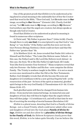One of the greatest proofs that *Elohim* is to be understood as being plural in actual meaning is the undeniable fact of *how* the Creator used that word in the Bible, "Then God said, 'Let *Us* make man in *Our* image, according to *Our* likeness'" (Genesis 1:26). Clearly, God did *not* say, "Let *Me* make man in *My* image, according to *My* likeness." God nowhere says that the angels are creators, but always speaks as though only God is Creator.

Proof that *Elohim* is to be understood as plural in meaning is found in numerous other scriptures:

1) Christ said, "My Father is greater than I" (John 14:28). Clearly, though there is only *one God,* it is *un*scriptural to say that God is "one Being" or "one Entity." If the Father and His Son were not two distinct Persons (Beings/Entities), Christ could not have said that His Father was "greater than" He.

2) In Matthew 22:41–46, Jesus revealed that Psalm 110:1 refers to Himself and His Father: "The LORD <sup>[the</sup> Hebrew name *Yahweh*—in this case, the Father] said to My Lord [the Hebrew word *Adonai*—in this case, the Son], 'Sit at My [the Father's] right hand, till I make Your [the Son's] enemies Your footstool.'" Many scriptures reveal that only two Persons—the Father and His Son—now comprise the divine Family. The Trinity is nowhere taught in the Bible—it is not so much as even once mentioned in either the Old or the New Testaments. Rather, God Almighty reveals that all who become His sons and daughters (2 Corinthians 6:18) by a new *spiritual begettal* will—at the resurrection of the just—be born of the spirit as immortal, glorified spirit beings in the very God Family (1 Thessalonians 4:13–18; 1 Corinthians 15:50–57).

Such glorified saints will then be changed from human into divine—from mortal into immortal beings. As immortal sons and daughters of God, they will then be higher than the angels (whom they will then judge—1 Corinthians 6:3), and will at that time be worthy of receiving the worship of mortal humans (Revelation 3:9)!

*Elohim* is a plural noun, denoting that God is a Family of divine Beings—not a closed Trinity, which could never admit other sons and daughters of God into the God-plane *Family* **of** *divine beings. Elohim can* and *does* allow for a **plurality of divine Beings in the Family of God;** the Hebrew Scriptures clearly prove that this word, *Elohim,* is to be taken quite literally. Can we believe the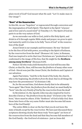plain word of God? God meant what He said: "Let Us make man in Our image"!

#### "Born" of the Resurrection

In this life, we are "begotten" or regenerated through conversion and the impregnation of God's Spirit. This Spirit is the Spirit "of *power* and of *love* and of a *sound mind*" (2 Timothy 1:7). The Spirit of God imparts to us the very nature of God.

As we surrender our wills to God, yield to His Holy Spirit, and drink in of it through regular Bible study and prayer, we *grow* in spiritual maturity until it is time to be fully "born of God" at the resurrection of the dead!

Jesus Christ is our example and forerunner. He was "declared to be the Son of God with power, according to the Spirit of holiness, by the *resurrection* from the dead" (Romans 1:4). Later, in Romans, Paul was inspired to write that true Christians are "predestined to be conformed to the image of His Son, that He might be the **firstborn among** *many* **brethren**" (Romans 8:29).

Notice! All who truly yield themselves to God will become like Christ, so that He, then, will become the *firstborn* of many other sons of God—literal sons just like Jesus Christ, the firstborn and Captain of our salvation.

Again Paul states, "And He is the head of the body, the church, who is the beginning, the *firstborn from the dead*, that in all things He may have the preeminence" (Colossians 1:18).

So, for the second time, God shows clearly that to be ultimately "born again" like Christ, the *firstborn from the dead,* we must finally be "born" into the *very Family of God* by the *resurrection* from the dead!

In Revelation 1:5, the Apostle John was also inspired by God to describe Christ as "the *firstborn* from the *dead.*" If Christ is the "firstborn," there must be others. If the "firstborn" of God is fully *God,* then those later born of the *very same Father* must also become full members of the God Family!

The entire Bible is clear on the fact that you do not leave the state of death *except* by the *resurrection.* We have just discussed three scriptures showing clearly that those truly "born again" are born of the resurrection from the dead and that they become full members of the God Family—the God level of existence—just as Jesus did.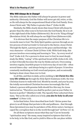#### Who Will Always Be in Charge?

The Bible indicates the Father will *always* be greater in power and authority. Obviously, God the Father will never get old, retire, or die, so He will *always* be the unquestioned Head of the God Family. Even Jesus Christ said, "My Father is greater than I" (John 14:28).

Similarly, the Bible clearly shows that Jesus Christ will *always* be greater than the other sons to be born into the God Family. He is to sit at the right hand of the Father (Hebrews 8:1). He is to be "King of kings" (Revelation 19:16). He will *always* be our High Priest (Hebrews 6:20).

It is obvious that the major purpose of the Christian life is to reconcile man to God. The Holy Spirit guides a person through an entire process of *total surrender* to God and to the Savior, Jesus Christ. Through the Spirit, a person *grows* in the grace and knowledge—the very character—of Jesus Christ (2 Peter 3:18). With God's help, this process involves overcoming and learning to "live… by every word of God" (Luke 4:4). For a person to draw near to God, he must deeply study the Bible, "eating" of the spiritual bread of life (John 6:56–63), so that it literally becomes the way he thinks and acts. Overcoming involves regular, heartfelt prayer to God every day of one's life—often several times a day—and always being in a spirit of prayer. It involves constantly meditating on God's word and purpose, and occasionally fasting to draw closer than ever to God.

In all this, and then in daily, active yielding to **let Christ live His very life within us** through the Holy Spirit (Galatians 2:20), the true Christian learns to walk with God. Month by month, and year by year, the totally surrendered Christian becomes increasingly like God. Indeed, a person with genuine faith should live this way, for Jesus instructed us, "Therefore you shall be perfect, just as your Father in heaven is perfect" (Matthew 5:48). The Apostle Peter exhorted Christians, "But as He who called you is holy, **you also be holy in all your conduct**" (1 Peter 1:15).

In his final letter, Peter described how God's "divine power has given to us all things that pertain to life and godliness… that through these [promises] you may be partakers of the *divine nature,* having escaped the corruption that is in the world through lust" (2 Peter 1:3–4).

Do all these scriptures mean what they say? Can we honestly "spiritualize away" the many, many inspired scriptures that tell us to be holy, to be like God, and to yield to Him so He can place within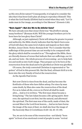us His own *divine* nature? Consequently, it is logical to consider the idea that it has been God's plan all along to reproduce Himself. This *is* what the God Family (*Elohim*) had in mind when they said, "Let Us make man in Our image, according to Our likeness" (Genesis 1:26).

#### "Born Again"—But Are We to Be *Inferior* Sons?

We have already seen that Jesus Christ was "the *firstborn* among many brethren" (Romans 8:29). Will the younger brothers yet to be born have far less glory than Christ?

Although, as just explained, Christ will always be greater in power and authority, the Bible clearly indicates that the Spirit-born sons of God will share the same level of glory and majesty as their elder Brother, Jesus Christ. Notice Romans 8:18: "For I consider that the sufferings of this present time are not worthy to be compared with the glory which shall be revealed in us." Throughout the Bible, there are literally dozens of verses that indicate that our sufferings, our trials, and our tests—the whole process of overcoming—are to help fashion and mold us into God's image. They prepare us to be born at the resurrection from the dead and to be glorified as Christ was glorified.

Of course, the truly converted Christian is regenerated or "begotten" of God in this present life. But the final, *ultimate birth* is to be born into the very Family of God at the resurrection.

As the Apostle Paul wrote:

But now Christ is risen from the dead, and has become the firstfruits of those who have fallen asleep. For since by man came death, by Man also came the resurrection of the dead. For as in Adam all die, even so in Christ all shall be made alive…. And so it is written, "The first man Adam became a living being." The last Adam became a life-giving spirit. However, the spiritual is not first, but the natural, and afterward the spiritual. The first man was of the earth, made of dust; the second Man is the Lord from heaven…. And as we have borne the image of the man of dust, we shall also bear the image of the heavenly Man (1 Corinthians 15:20–22, 45–47, 49).

Yes, we are to be sons of the resurrection—not falsely "born again" in front of an emotional crowd of people in some "revival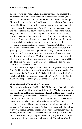meeting"! The *true* "born again" experience will so far surpass these counterfeit emotional outpourings that confuse today's religious world that there is no room for comparison, for, at the "last trumpet," Christ will return to this earth as King of kings, and those found worthy will find themselves surging upward toward the clouds to meet Him in the air (1 Thessalonians 4:16–17). They will have *spirit bodies* and will be glorified as newly "born" members of the divine Family! They will not be regarded as "adopted" or merely "created" beings. Rather, these Spirit-born sons will *come right out from God,* having His very *divine nature* just as surely as we in this life have the human nature and characteristics imparted by our human parents.

Using a human analogy, we are now "begotten" children of God, still in our Mother's womb (Jerusalem above, Galatians 4:26), but growing in grace and knowledge so that we may be born of God at the resurrection (cf. Romans 1:4; 8:29). The Apostle John wrote, "Beloved, now we are children of God; and it has not yet been revealed what we shall be, but we know that when He is revealed, **we shall be**  like Him, for we shall see Him as He is" (1 John 3:2). Yes, we shall look "like" Christ at that time!

How does the living Christ look? We find His present appearance described in Revelation 1:13–16. Now, following His resurrection, Jesus' eyes are like "a flame of fire." His face is like the "sun shining" in full strength! He is glorified, as we *shall* be *glorified,* according to the marvelous purpose of the great God who made us in His own image!

#### What a Future for Those Who Overcome!

After describing how we shall be "like" Christ and be able to look right into the face of that blinding glory, John writes, **"And everyone who has this hope in Him purifies himself, just as He is pure"** (1 John 3:3). Once we grasp the ultimate *purpose* of God, the truly incredible human potential that our Creator has planned for us, we have every reason to want to be "pure," to live a righteous and holy life.

Our true reward is not some vague and nebulous "pie in the sky" concept of "rolling around heaven" all day with nothing to do. Rather, it involves becoming "sons of the resurrection" and joining Christ in actively ruling this planet for at least the next 1,000 years. What will Christ's saints be doing? They will be cleaning up pollution, stamping out pornography and war, and healing the sick. The saints' job will be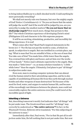to bring indescribable joy to a shell-shocked world. Could anything be more personally rewarding?

We shall not merely rule over humans, but over the mighty angels of God! Notice 1 Corinthians 6:2–3: "Do you not know that the saints will judge the world? And if the world will be judged by you, are you unworthy to judge the smallest matters? **Do you not know that we shall** *judge angels?* How much more, things that pertain to this life?" Our whole Christian experience of developing Christ's mind (Philippians 2:5) and character is for this supreme purpose.

It will be an exciting, stimulating, productive, and incredibly fulfilling experience. It is real!

What comes after this? Read Paul's inspired statements in Hebrews 2:5–7: "For He has not put the world to come, of which we speak, in subjection to angels. But one testified in a certain place, saying: 'What is man that You are mindful of him, or the son of man that You take care of him? You made him a little lower than the angels; You crowned him with glory and honor, and set him over the works of Your hands.'" Notice man's ultimate superiority to the angels. Man was made a "little lower"—or, as many scholars translate it, "a little while lower" than the angels. Ultimately, God plans to put "all things" in subjection under man.

Even now, man is creating computer systems that can almost rival the human mind in their astonishing capacities, and he is also capable of annihilating all human life from this earth through nuclear bombs and other weapons of mass destruction! Yet because of the need for food, water, and oxygen to sustain human life, and because of the exceedingly vast distances between the planets, man could not conceivably explore the entire universe even *if* he could travel at the incredible speed of light.

#### Inheriting a Universe

But, describing tomorrow's world, God indicates that "all things" will be put under man. The Greek word here used for "all things" may correctly be understood as **"the entire universe"!** In fact, in the *Weymouth Version*, Hebrews 2:8 is translated, "For this subjecting of the universe to man."

Immediately after that, Paul wrote, "For in that He put all in subjection under him, He left nothing that is not put under him. But now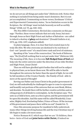we do not yet see all things put under him" (Hebrews 2:8). Notice that nothing is excluded from being under man's dominion. But it is not yet accomplished. Commenting on those verses, Eerdmans' *Critical and Experimental Commentary* states, "As no limitation occurs in the Scripture, the 'all things' must include heavenly as well as earthly things" (1948, vol. VI, pp. 530–531).

*The New Bible Commentary: Revised* also comments on this passage: "Further, these verses indicate that not only Jesus, but men through Jesus as their High Priest and Author of Salvation—are called to inherit a destiny of *glory* and dominion" (Donald Guthrie et al., 1975, pp. 1196–1197, emphasis added).

In plain language, then, it is clear that God created man to be truly *like Him.* We who overcome are destined to be real Sons of God—not "pseudo-sons" of a much lower rank and level of existence.

Speaking of the "sons of the resurrection," the book of Hebrews says, "He [God] left nothing that is not put under him" (Hebrews 2:8). The meaning of life, then, is to become **full-fledged Sons of God** and help rule the entire universe under the direction of our elder Brother and High Priest, Jesus Christ!

Then we will have glorified spirit bodies that will not be subject to physical laws, as we know them now. We will be able to hurtle throughout the universe far faster than the speed of light, for we will be full members of the Creator Family—the Family of God—able to move at the speed of thought!

Serving our Father and Jesus Christ in the *perfect* government of God, we will undoubtedly be challenged in ages to come to rejuvenate and beautify vast portions of the universe that are now bleak, lifeless, and desolate. No doubt there will be further creative activities and exciting projects of all kinds to contemplate. As the Scripture says, "For unto us a Child is born, unto us a Son is given; and the government will be upon His shoulder. And His name will be called Wonderful, Counselor, Mighty God, Everlasting Father, Prince of Peace. Of the increase of His government and peace there will be no end" (Isaiah 9:6–7).

Once this awesome purpose for mankind is fully understood, many other things involving human life and the true Christian way of life begin to make a lot more sense.

Notice Romans 8:17, which says that we are "if children, then heirs—heirs of God and **joint heirs with Christ,** if indeed we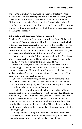suffer with Him, that we may also be *glorified together.*" When we grasp what that supreme glory really involves—the very *glory* of *God*—then our human trials do truly seem less formidable. Philippians 3:21 speaks of the returning Jesus Christ, "who will transform our lowly body that it may be conformed to His glorious body, according to the working by which He is able even to subdue all things to Himself."

#### Spirit Beings Will Teach God's Way to Mankind

Speaking of the ultimate "born again" experience, Jesus Christ told Nicodemus, "That which is born of the flesh is flesh, and **that which is born of the Spirit is spirit.** Do not marvel that I said to you, 'You must be born again.' The wind blows where it wishes, and you hear the sound of it, but cannot tell where it comes from and where it goes. **So is everyone who is born of the Spirit**" (John 3:6–8).

In the resurrection, the Spirit-born saints will be like Christ was after His resurrection. We will be able to simply pass through walls (John 20:19) and disappear into thin air (Luke 24:31).

At the same time, the resurrected saints, like Christ, will also be able to appear in human form and visit with, eat with, and teach human beings during Christ's millennial reign on earth. John 21 describes the risen Christ preparing an outdoor fish barbecue (v. 9) for the disciples and then teaching them.

Of course, many interesting, exciting, and even amusing situations may be envisioned when the resurrected sons of God may surprise or even temporarily frighten ("It's one of them again!") unsuspecting human beings in tomorrow's world.

Isaiah 30 describes the time when the whole nation of Israel is brought back from its coming captivity to be governed and taught by divine Beings: "And though the Lord gives you the bread of adversity and the water of affliction, yet your teachers will not be moved into a corner anymore, but your eyes shall see your teachers. Your ears shall hear a word behind you, saying, 'This is the way, walk in it,' whenever you turn to the right hand or whenever you turn to the left" (vv. 20–21).

During the soon-coming millennial rule of Christ and the resurrected saints, those millions of humans still living on earth will be taught the *way* to peace, prosperity, and true happiness.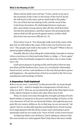Many nations shall come and say, "Come, and let us go up to the mountain of the LORD, to the house of the God of Jacob; He will teach us His ways, and we shall walk in His paths." For out of Zion the law shall go forth, and the word of the LORD from Jerusalem. He shall judge between many peoples, and rebuke strong nations afar off; they shall beat their swords into plowshares, and their spears into pruning hooks; nation shall not lift up sword against nation, neither shall they learn war any more (Micah 4:2–3).

Now notice verse 5: "For all people walk each in the name of his god, but we will walk in the name of the LORD our God forever and ever." The people each walk in the name of "his god"? What is this inspired prophet talking about?

Possibly, Micah is describing the relationship of people in various cities or provinces to their particular Ruler or Judge—a "born-again" member of the God Family assigned to rule their city or state (Luke 19:17–19).

God's great purpose in giving us life and breath is that we may join Him and His firstborn Son, Jesus, in a *real family relationship* based on love, service, and obedience to the way that produces peace and happiness—the spiritual law of God as revealed in the Ten Commandments and teachings of Christ.

#### A Stupendous Truth Explained!

Before we are even "converted" in this present life, we must deeply repent of "sin"—which is simply the transgression of God's law (1 John 3:4, *KJV*). Then we are promised the gift of the Holy Spirit (Acts 2:38), which God gives to those who obey Him (Acts 5:32).

Then, we must overcome through the strength and help of God's Spirit within us and grow in the *grace* and *knowledge* of Christ, in the very character of God, for our heavenly Father, through this process, puts *His very nature* within us. So, in that way, we are not merely "adopted," but we are literally begotten and finally born of God, having been impregnated with the divine nature and continuing to grow spiritually until we are ready to be "born of God" at the resurrection!

As Supreme Ruler over all that is, God is taking no chances that His sons would ever rebel against Him! Only those who have totally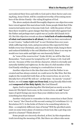surrendered their lives and wills to God and to their Savior and coming King, Jesus Christ, will be considered worthy of becoming members of the divine Family—the ruling Kingdom of God.

The above analysis should thoroughly disprove one objection some have voiced against this marvelous truth. Some people think that if the resurrected saints were to become truly God—with the power of God then there would be a grave danger that they would rebel against God the Father and perhaps start a spirit war as Lucifer did (Isaiah 14:12– 15). But this objection reveals an almost **total lack of understanding of what** *real* **conversion is all about,** for after we have surrendered to our Creator, "walked with God" in our Christian lives over years while suffering trials, tests, and persecutions (the expected lot that befalls every true Christian), and, in spite of these trials, hung in there and endured faithfully to the end (Matthew 24:13), there is no way we would ever turn aside and fight our own heavenly Father!

As "sons of the resurrection" (Luke 20:36), we will be like God. Remember, "God cannot be tempted by evil" (James 1:13). God will not sin—because of His very divine character, which is eternally and naturally faithful and righteous. So the idea of a full member of the God Family rebelling or sinning is a *contradiction in terms.*

Another objection is the idea that since God the Father is uncreated and has always existed, we could never be like Him. But this neglects the wonderful truth that, at the resurrection, we are to be literally *born* of God! We will *not*—at that time—be merely "created." Rather, we will **come right out from God,** being literally filled with and **composed of the Holy Spirit,** like God Himself.

Again, God is reproducing after His kind just as surely as we humans do! His Spirit-born sons, in the resurrection, are *not* "lesser" types of spirit beings any more than your children turn out to be something less than human!

Another vital point to remember in this connection is that Christ is to "marry" the Church at His second coming (2 Corinthians 11:1–2; Revelation 19:7). Is the bride of Christ to be something inferior to Him—a completely different class of being? Will the glorified saints exist on some lower plane of existence from God, like a pet dog compared to a human? Think about it!

Some people are sincerely shocked, at first, by this stupendous truth involving the meaning of life. But there are others who seem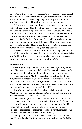interested only in playing word games to try to confuse the issue and obscure one of the most *vital* and magnificent truths revealed in the entire Bible—the awesome, inspiring, supreme purpose of our Creator in giving us life and breath and making us "in His image"!

As I have already said—and I repeat once more lest someone try to twist these words—God the Father and Jesus our Head and Savior will always be greater in power and authority than we will be. But, as "sons of the resurrection," the saints will be on the **same level of existence,** just as your sons and daughters are on the same *human level* as you are. Truly, God the Father and Jesus will always have existed longer and done more in the past than any of the resurrected saints. But you and I have lived longer and done more in the past than our human children. Yet they are *fully human* just as we are!

We need to realize that the continuum of "eternity" goes on and on and that, as full members of the Creator Family, the saints will also join God in ruling, creating, and accomplishing awesome projects throughout the universe in ages to come (Isaiah 9:7).

#### God Is Eternal

One false argument against the truth of the meaning of life goes like this: "We can never become fully like God because God has *eternally* existed and has been the Creator of all that is—and we have not."

Is there an answer? Part of the real answer is found in Romans 4:17. Here Paul notes that God called Abraham "a father of many nations." God stated this as a fact *long before* it ever occurred! So Paul was inspired to write, "God, who gives life to the dead and calls those things which do not exist *as though* they did."

The *ultimate reality* is God's will. God had already willed that Abraham was to be "a father of many nations." So, in God's mind, it was a fact because God had *willed* it so!

In like manner, God must have planned from the beginning to reproduce Himself "just as He chose us in Him before the foundation of the world, that we should be holy and without blame before Him in love" (Ephesians 1:4). Again, "whom He foreknew, He also predestined to be conformed to the image of His Son, that He might be the firstborn among many brethren" (Romans 8:29).

God's plan is to bring more full sons of God into His Family so that Christ might be "the firstborn among many brethren." All this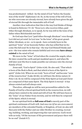was predestinated—willed—by the mind of God "before the foundation of the world" (Ephesians 1:4). So, in the terms of the will of God, we who overcome are already eternal, have *already* been given the gift of eternal life through the immutable will of God!

Another clear indication that this is the way God thinks of things is found in Hebrews 7:9–10: "Even Levi, who receives tithes, paid tithes through Abraham, so to speak, for he was still in the loins of his father when Melchizedek met him."

So God says that Levi "paid tithes through Abraham" even though Levi did not *yet* exist! As Levi was "in the loins" of his great-grandfather Abraham, so we—so to speak—have certainly been in the spiritual "loins" of our heavenly Father, who has *willed* that we become His full sons! So in that way—the way God Himself thinks and acts—the true saints who remain faithful and overcome **have always existed** in the mind of God.

We were in the "loins" of God when He created the angels, when He later created the earth and put mankind upon it, and when He still later sent His Son to make possible our entrance into the eternal Family of God.

Jesus said, "God is Spirit" (John 4:24). He also said, "That which is born of the flesh is flesh, and that which is born of the Spirit is spirit" (John 3:6). When we are truly "born of God" and become "sons of the resurrection" (Luke 20:36), we will have the divine nature (2 Peter 1:4). So we will be *composed* of the Holy Spirit as God and Christ are composed of that same Spirit. The Holy Spirit *is* eternal—it has always existed and will always exist.

Therefore, although we will be new personalities added to the Family of God by a literal spiritual birth in the resurrection, we will *always* have existed in the mind and will of God. We will have been in the "loins" of our Father from eternity, and we will then be *composed* of the Spirit, which *is* eternal.

So our spiritual birth as **full sons of God** is merely part of the spiritual continuum of God's will. And once we (*if* we are overcomers) are members of the extended Family, or Kingdom, of God, we also will then join with the Father and our older Brother in creating, recreating, building, working, and improving this vast universe. God's word tells us truly, "Of the increase of His government and peace there will be no end" (Isaiah 9:7).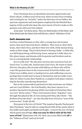True Christians have an absolutely awesome opportunity and future ahead. A billion years from now, when we have been working and creating for an "eternity" under the direction of our Father, the specious arguments and word games employed by the blinded theologians of this world who deny the clear intent of God to make us His genuine sons will seem trite indeed.

Jesus said, "Let them alone. They are blind leaders of the blind. And if the blind leads the blind, both will fall into a ditch" (Matthew 15:14).

#### God's Awesome *Love*

God has created humans so that, after a young man and woman marry, they most sincerely desire children. They want to *share* their home, *share* their lives, and *share* their love with a little human being made in their image. They look forward to having a baby—a child who, as a full human being, will develop, learn, and grow to fully *share* its life, plans, hopes, and dreams with its parents and brothers and sisters in a loving family relationship.

So it is with God. "He who does not love does not know God, for God is love" (1 John 4:8). And because God *is* love, He wants to share His love, His glory, His eternity with billions of others who will become His *genuine* Sons in the resurrection! If God the Father and Christ were selfish, aloof, or lacking in love and outflowing concern, perhaps they would want to keep to themselves and not make it possible for others to join their Family in a complete God-plane relationship by literally reproducing themselves.

But in the transcendent spiritual love that motivates our Father and our Lord (*Elohim*—the God Family), they have chosen to reproduce themselves by placing within surrendered Christians their *very own "divine nature."* Then, God nurtures these "begotten" sons through this physical life of overcoming until they, like Christ—"the *firstborn* from the dead"—are also literally born of God as "sons of the resurrection" (Luke 20:36).

How great is the love of Christ? The inspired Apostle Paul prayed that Christians "may be able to comprehend with all the saints what is the width and length and depth and height—to know the *love* of Christ which passes knowledge; **that you may be filled with all the fullness of God**" (Ephesians 3:18–19). How can you be filled with *all* of the "fullness of God" and not *be* God?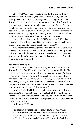The love of Christ and of our heavenly Father impels them to share with us their eternal glory as full sons of the Kingdom, or Family, of God. In the future, when you read passages in the New Testament concerning the resurrected saints inheriting God's glory, perhaps they will now have much deeper meaning, for this "mystery, which has been hidden from ages and from generations… now has been revealed to His saints. To them God willed to make known what are the riches of the glory of this mystery among the Gentiles: which is Christ in you, the hope of glory" (Colossians 1:26–27).

Yes, men have always wondered, *"Why* was I born? What is the purpose of life? If there is a real God, *why* does he try and test mankind so much and allow so much suffering to occur?"

Now, the mystery is solved! If your mind and heart are open, you now *know* the answer to these profound questions that have puzzled philosophers and scholars for centuries. You should be everlastingly grateful and thankful to our God and our Savior, Jesus the Christ, for making us after their kind.

#### Jesus' Fervent Prayer

In the final 24 hours of His life, on the night before His crucifixion, Jesus offered to God His most complete prayer recorded in the Bible. Let us review some highlights of that inspired prayer: "And now, O Father, glorify Me together with Yourself, with the glory which I had with You before the world was" (John 17:5). Here we find Christ specifically asking that the stupendous glory He had shared with the Father from eternity be restored to Him—He who was to be "the firstborn among *many* brethren" (Romans 8:29).

In verse 11 of John 17, Jesus prayed, "Holy Father, keep through Your name those whom You have given Me, that they may be one as We are." Christ and the Father are *one* God, *one* Family, *one* level of existence above all other creatures. Jesus prayed that the saints become one in the *same way!*

Notice John 17:20–23:

I do not pray for these alone, but also for those who will believe in Me through their word; that they all may be one, as You, Father, are in Me, and I in You; that they also may be one in Us, that the world may believe that You sent Me. **And the**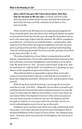**glory which You gave Me I have given them, that they may be one just as We are one:** I in them, and You in Me; that they may be made perfect in one, and that the world may know that You have sent Me, and have loved them as You have loved Me.

These words of out-flowing love are inspiring and magnificent. They certainly make clear that those of us willing to utterly surrender to God and let Christ live His life in us through the Holy Spirit will attain to the same type of glory that He attained. We will be completely *one* with God—as Christ is one with the Father—and therefore obviously *be* God. This will be the supreme fulfillment of God's own purpose in giving us life and then calling us to spiritual understanding, "that the world may know that You have sent Me, and have *loved them as* You have loved Me" (v. 23).

The indescribable love of our Father is somewhat beyond full human comprehension. Yet we who understand must respond to that love with deep reverence, thankfulness, and obedience to our great God. We must strive to "live… by every word of God" (Luke 4:4). And we must learn to "walk by faith" (2 Corinthians 5:7), keeping our eyes always on the magnificent goal our God has set for us.

"But without faith it is impossible to please Him, for he who comes to God must believe that He is, and that He is a rewarder of those who diligently seek Him" (Hebrews 11:6). And how great is that reward!

With all my heart and all my being, I encourage all of you who read this to truly "*seek Him*"—diligently. Do not allow yourself to put *anything* ahead of God and His truly wonderful purpose for your life. Learn to truly study the Bible as never before. Learn to get down on your knees before the Supreme Governor of the universe and pour out your heart in prayer to Him for the love, the wisdom, and the strength to truly be an overcomer and to become His *real son* in a world-ruling kingdom soon to be set up on this earth.

Nothing is more exciting. And, when you really understand, nothing is more "real" than what the Great God says will happen! This is the final fulfillment of the Gospel of Jesus Christ—the ultimate good news—that man can be born into the God Kingdom, the God-level of existence.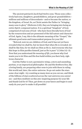The ancient patriarch Jacob had twelve sons. Those sons collectively had sons, daughters, grandchildren, and great-grandchildren millions and millions of descendants—and so became the nation, or the kingdom, of Israel. So, as Christ assists the Father in "bringing many sons to glory" (Hebrews 2:10), they are bringing into being an entire Spirit-composed nation. It is a spiritual "kingdom" of God, comprised of real sons of God—who have been literally born of God by the resurrection and are possessed of the full nature and character of God. Again, I say, this is the ultimate meaning of the "Gospel," the ultimate good news and transcendent purpose for your life!

"Beloved, now we are children of God; and it has not yet been revealed what we shall be, but we know that when He is revealed, we shall be like him, for we shall see Him as He is. And everyone who has this hope in Him purifies himself, just as He is pure" (1 John 3:2–3). Now that you understand *the meaning of life,* you know why God wants you to let Him and His Son build within you their holy, righteous character.

God the Father is not a permissive wimp, a stern and unsmiling puritan, or an impractical philosopher. He and His firstborn Son, like a loving family, are preparing other sons to join with them in ruling this world and, later, the entire universe. So go out under the stars some clear night—try counting as many stars as you *can* see, and think of the billions of stars scattered across the vast universe you *cannot* see—and then *meditate* on this awe-inspiring purpose for your life and thank God for it! Then, get down on your knees and begin to zealously do *your part* to make it all possible!